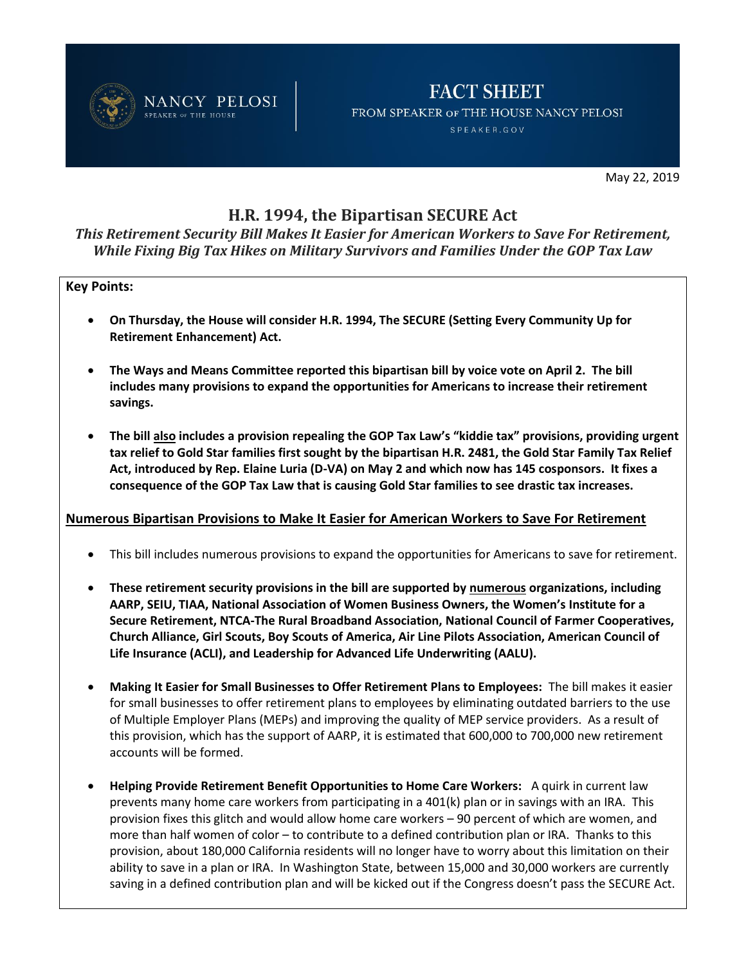

## **FACT SHEET** FROM SPEAKER OF THE HOUSE NANCY PELOSI SPEAKER.GOV

May 22, 2019

# **H.R. 1994, the Bipartisan SECURE Act**

*This Retirement Security Bill Makes It Easier for American Workers to Save For Retirement, While Fixing Big Tax Hikes on Military Survivors and Families Under the GOP Tax Law* 

#### **Key Points:**

- **On Thursday, the House will consider H.R. 1994, The SECURE (Setting Every Community Up for Retirement Enhancement) Act.**
- **The Ways and Means Committee reported this bipartisan bill by voice vote on April 2. The bill includes many provisions to expand the opportunities for Americans to increase their retirement savings.**
- **The bill also includes a provision repealing the GOP Tax Law's "kiddie tax" provisions, providing urgent tax relief to Gold Star families first sought by the bipartisan H.R. 2481, the Gold Star Family Tax Relief Act, introduced by Rep. Elaine Luria (D-VA) on May 2 and which now has 145 cosponsors. It fixes a consequence of the GOP Tax Law that is causing Gold Star families to see drastic tax increases.**

### **Numerous Bipartisan Provisions to Make It Easier for American Workers to Save For Retirement**

- This bill includes numerous provisions to expand the opportunities for Americans to save for retirement.
- **These retirement security provisions in the bill are supported by numerous organizations, including AARP, SEIU, TIAA, National Association of Women Business Owners, the Women's Institute for a Secure Retirement, NTCA-The Rural Broadband Association, National Council of Farmer Cooperatives, Church Alliance, Girl Scouts, Boy Scouts of America, Air Line Pilots Association, American Council of Life Insurance (ACLI), and Leadership for Advanced Life Underwriting (AALU).**
- **Making It Easier for Small Businesses to Offer Retirement Plans to Employees:** The bill makes it easier for small businesses to offer retirement plans to employees by eliminating outdated barriers to the use of Multiple Employer Plans (MEPs) and improving the quality of MEP service providers. As a result of this provision, which has the support of AARP, it is estimated that 600,000 to 700,000 new retirement accounts will be formed.
- **Helping Provide Retirement Benefit Opportunities to Home Care Workers:** A quirk in current law prevents many home care workers from participating in a 401(k) plan or in savings with an IRA. This provision fixes this glitch and would allow home care workers – 90 percent of which are women, and more than half women of color – to contribute to a defined contribution plan or IRA. Thanks to this provision, about 180,000 California residents will no longer have to worry about this limitation on their ability to save in a plan or IRA. In Washington State, between 15,000 and 30,000 workers are currently saving in a defined contribution plan and will be kicked out if the Congress doesn't pass the SECURE Act.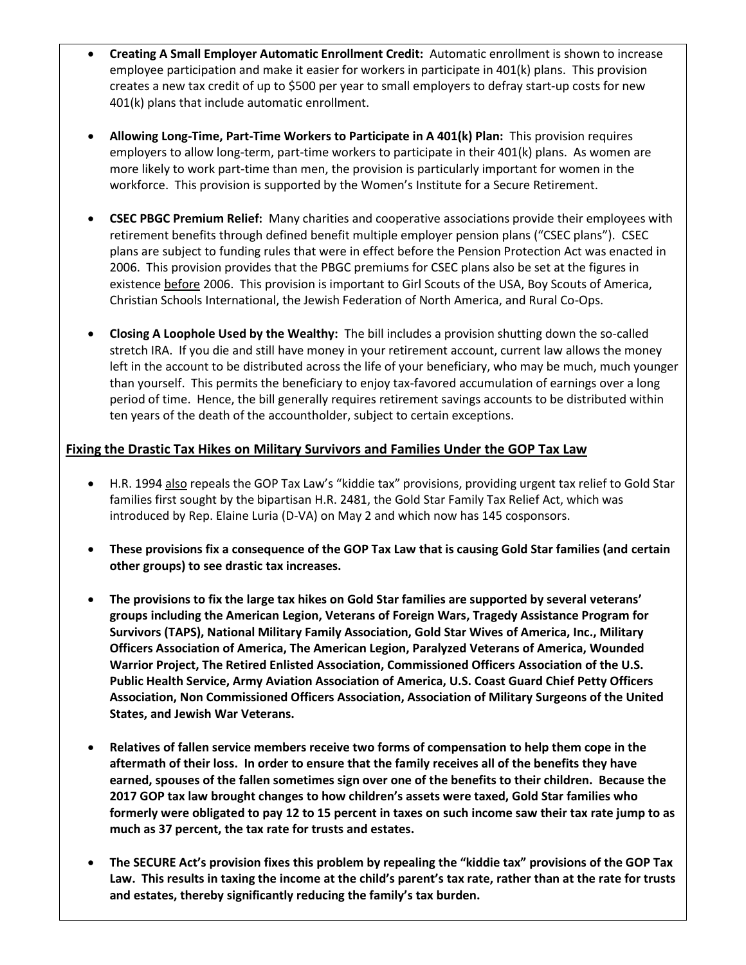- **Creating A Small Employer Automatic Enrollment Credit:** Automatic enrollment is shown to increase employee participation and make it easier for workers in participate in 401(k) plans. This provision creates a new tax credit of up to \$500 per year to small employers to defray start-up costs for new 401(k) plans that include automatic enrollment.
- **Allowing Long-Time, Part-Time Workers to Participate in A 401(k) Plan:** This provision requires employers to allow long-term, part-time workers to participate in their 401(k) plans. As women are more likely to work part-time than men, the provision is particularly important for women in the workforce. This provision is supported by the Women's Institute for a Secure Retirement.
- **CSEC PBGC Premium Relief:** Many charities and cooperative associations provide their employees with retirement benefits through defined benefit multiple employer pension plans ("CSEC plans"). CSEC plans are subject to funding rules that were in effect before the Pension Protection Act was enacted in 2006. This provision provides that the PBGC premiums for CSEC plans also be set at the figures in existence before 2006. This provision is important to Girl Scouts of the USA, Boy Scouts of America, Christian Schools International, the Jewish Federation of North America, and Rural Co-Ops.
- **Closing A Loophole Used by the Wealthy:** The bill includes a provision shutting down the so-called stretch IRA. If you die and still have money in your retirement account, current law allows the money left in the account to be distributed across the life of your beneficiary, who may be much, much younger than yourself. This permits the beneficiary to enjoy tax-favored accumulation of earnings over a long period of time. Hence, the bill generally requires retirement savings accounts to be distributed within ten years of the death of the accountholder, subject to certain exceptions.

## **Fixing the Drastic Tax Hikes on Military Survivors and Families Under the GOP Tax Law**

- H.R. 1994 also repeals the GOP Tax Law's "kiddie tax" provisions, providing urgent tax relief to Gold Star families first sought by the bipartisan H.R. 2481, the Gold Star Family Tax Relief Act, which was introduced by Rep. Elaine Luria (D-VA) on May 2 and which now has 145 cosponsors.
- **These provisions fix a consequence of the GOP Tax Law that is causing Gold Star families (and certain other groups) to see drastic tax increases.**
- **The provisions to fix the large tax hikes on Gold Star families are supported by several veterans' groups including the American Legion, Veterans of Foreign Wars, Tragedy Assistance Program for Survivors (TAPS), National Military Family Association, Gold Star Wives of America, Inc., Military Officers Association of America, The American Legion, Paralyzed Veterans of America, Wounded Warrior Project, The Retired Enlisted Association, Commissioned Officers Association of the U.S. Public Health Service, Army Aviation Association of America, U.S. Coast Guard Chief Petty Officers Association, Non Commissioned Officers Association, Association of Military Surgeons of the United States, and Jewish War Veterans.**
- **Relatives of fallen service members receive two forms of compensation to help them cope in the aftermath of their loss. In order to ensure that the family receives all of the benefits they have earned, spouses of the fallen sometimes sign over one of the benefits to their children. Because the 2017 GOP tax law brought changes to how children's assets were taxed, Gold Star families who formerly were obligated to pay 12 to 15 percent in taxes on such income saw their tax rate jump to as much as 37 percent, the tax rate for trusts and estates.**
- **The SECURE Act's provision fixes this problem by repealing the "kiddie tax" provisions of the GOP Tax Law. This results in taxing the income at the child's parent's tax rate, rather than at the rate for trusts and estates, thereby significantly reducing the family's tax burden.**